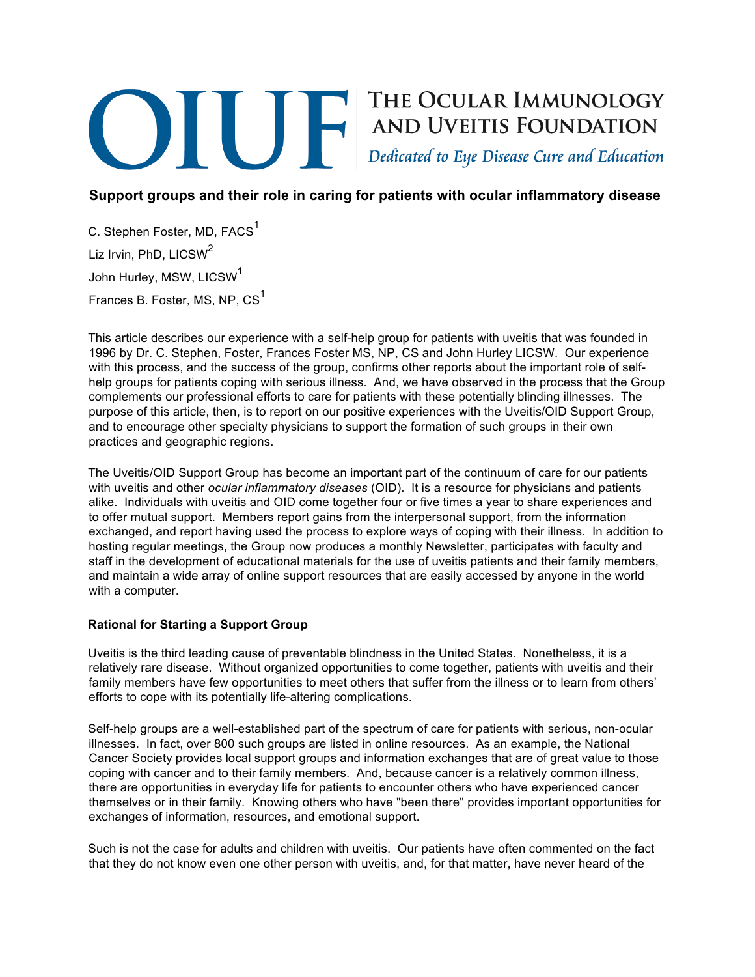# THE OCULAR IMMUNOLOGY<br>AND UVEITIS FOUNDATION<br>Dedicated to Eye Disease Cure and Education

# **Support groups and their role in caring for patients with ocular inflammatory disease**

C. Stephen Foster, MD, FACS<sup>1</sup> Liz Irvin, PhD, LICSW<sup>2</sup> John Hurley, MSW, LICSW<sup>1</sup> Frances B. Foster, MS, NP, CS<sup>1</sup>

This article describes our experience with a self-help group for patients with uveitis that was founded in 1996 by Dr. C. Stephen, Foster, Frances Foster MS, NP, CS and John Hurley LICSW. Our experience with this process, and the success of the group, confirms other reports about the important role of selfhelp groups for patients coping with serious illness. And, we have observed in the process that the Group complements our professional efforts to care for patients with these potentially blinding illnesses. The purpose of this article, then, is to report on our positive experiences with the Uveitis/OID Support Group, and to encourage other specialty physicians to support the formation of such groups in their own practices and geographic regions.

The Uveitis/OID Support Group has become an important part of the continuum of care for our patients with uveitis and other *ocular inflammatory diseases* (OID). It is a resource for physicians and patients alike. Individuals with uveitis and OID come together four or five times a year to share experiences and to offer mutual support. Members report gains from the interpersonal support, from the information exchanged, and report having used the process to explore ways of coping with their illness. In addition to hosting regular meetings, the Group now produces a monthly Newsletter, participates with faculty and staff in the development of educational materials for the use of uveitis patients and their family members, and maintain a wide array of online support resources that are easily accessed by anyone in the world with a computer.

## **Rational for Starting a Support Group**

Uveitis is the third leading cause of preventable blindness in the United States. Nonetheless, it is a relatively rare disease. Without organized opportunities to come together, patients with uveitis and their family members have few opportunities to meet others that suffer from the illness or to learn from others' efforts to cope with its potentially life-altering complications.

Self-help groups are a well-established part of the spectrum of care for patients with serious, non-ocular illnesses. In fact, over 800 such groups are listed in online resources. As an example, the National Cancer Society provides local support groups and information exchanges that are of great value to those coping with cancer and to their family members. And, because cancer is a relatively common illness, there are opportunities in everyday life for patients to encounter others who have experienced cancer themselves or in their family. Knowing others who have "been there" provides important opportunities for exchanges of information, resources, and emotional support.

Such is not the case for adults and children with uveitis. Our patients have often commented on the fact that they do not know even one other person with uveitis, and, for that matter, have never heard of the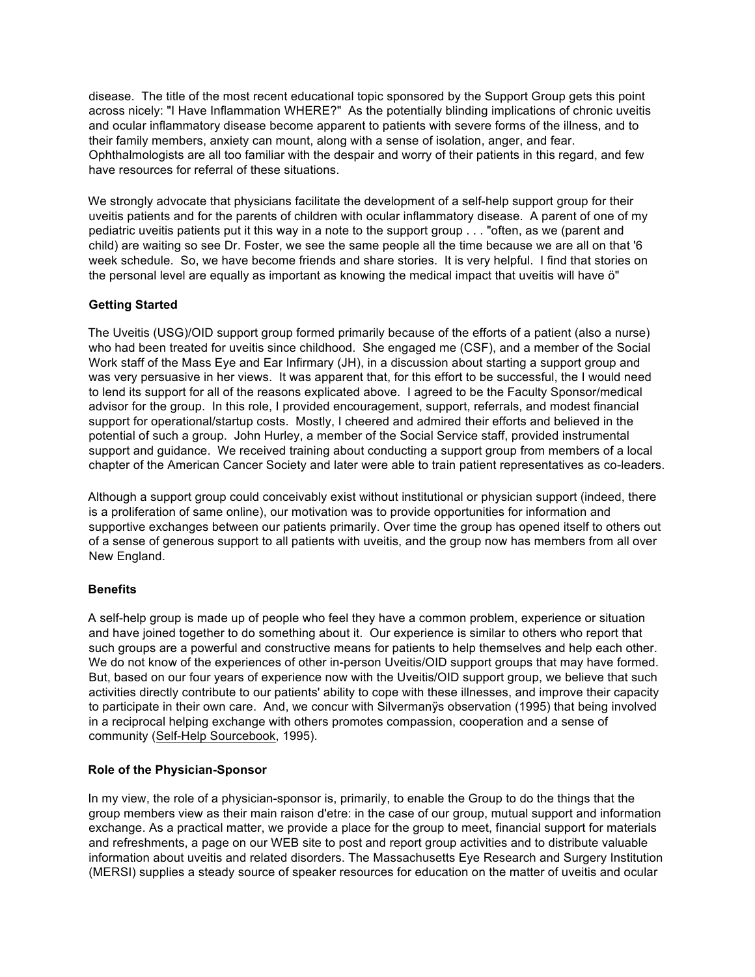disease. The title of the most recent educational topic sponsored by the Support Group gets this point across nicely: "I Have Inflammation WHERE?" As the potentially blinding implications of chronic uveitis and ocular inflammatory disease become apparent to patients with severe forms of the illness, and to their family members, anxiety can mount, along with a sense of isolation, anger, and fear. Ophthalmologists are all too familiar with the despair and worry of their patients in this regard, and few have resources for referral of these situations.

We strongly advocate that physicians facilitate the development of a self-help support group for their uveitis patients and for the parents of children with ocular inflammatory disease. A parent of one of my pediatric uveitis patients put it this way in a note to the support group . . . "often, as we (parent and child) are waiting so see Dr. Foster, we see the same people all the time because we are all on that '6 week schedule. So, we have become friends and share stories. It is very helpful. I find that stories on the personal level are equally as important as knowing the medical impact that uveitis will have ö"

### **Getting Started**

The Uveitis (USG)/OID support group formed primarily because of the efforts of a patient (also a nurse) who had been treated for uveitis since childhood. She engaged me (CSF), and a member of the Social Work staff of the Mass Eye and Ear Infirmary (JH), in a discussion about starting a support group and was very persuasive in her views. It was apparent that, for this effort to be successful, the I would need to lend its support for all of the reasons explicated above. I agreed to be the Faculty Sponsor/medical advisor for the group. In this role, I provided encouragement, support, referrals, and modest financial support for operational/startup costs. Mostly, I cheered and admired their efforts and believed in the potential of such a group. John Hurley, a member of the Social Service staff, provided instrumental support and guidance. We received training about conducting a support group from members of a local chapter of the American Cancer Society and later were able to train patient representatives as co-leaders.

Although a support group could conceivably exist without institutional or physician support (indeed, there is a proliferation of same online), our motivation was to provide opportunities for information and supportive exchanges between our patients primarily. Over time the group has opened itself to others out of a sense of generous support to all patients with uveitis, and the group now has members from all over New England.

### **Benefits**

A self-help group is made up of people who feel they have a common problem, experience or situation and have joined together to do something about it. Our experience is similar to others who report that such groups are a powerful and constructive means for patients to help themselves and help each other. We do not know of the experiences of other in-person Uveitis/OID support groups that may have formed. But, based on our four years of experience now with the Uveitis/OID support group, we believe that such activities directly contribute to our patients' ability to cope with these illnesses, and improve their capacity to participate in their own care. And, we concur with Silvermanÿs observation (1995) that being involved in a reciprocal helping exchange with others promotes compassion, cooperation and a sense of community (Self-Help Sourcebook, 1995).

### **Role of the Physician-Sponsor**

In my view, the role of a physician-sponsor is, primarily, to enable the Group to do the things that the group members view as their main raison d'etre: in the case of our group, mutual support and information exchange. As a practical matter, we provide a place for the group to meet, financial support for materials and refreshments, a page on our WEB site to post and report group activities and to distribute valuable information about uveitis and related disorders. The Massachusetts Eye Research and Surgery Institution (MERSI) supplies a steady source of speaker resources for education on the matter of uveitis and ocular